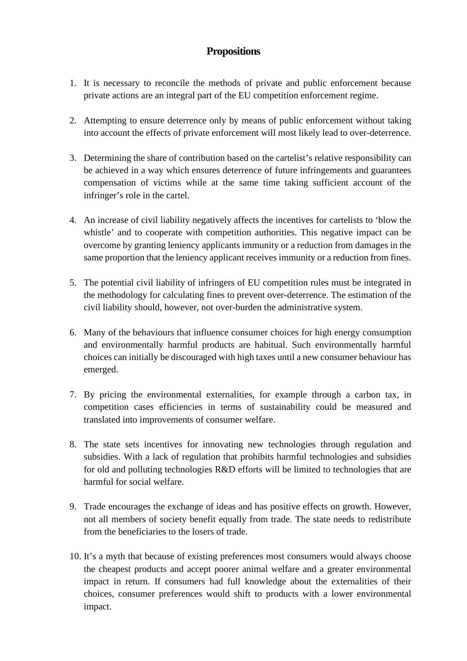## **Propositions**

- 1. It is necessary to reconcile the methods of private and public enforcement because private actions are an integral part of the EU competition enforcement regime.
- 2. Attempting to ensure deterrence only by means of public enforcement without taking into account the effects of private enforcement will most likely lead to over-deterrence.
- 3. Determining the share of contribution based on the cartelist's relative responsibility can be achieved in a way which ensures deterrence of future infringements and guarantees compensation of victims while at the same time taking sufficient account of the infringer's role in the cartel.
- 4. An increase of civil liability negatively affects the incentives for cartelists to 'blow the whistle' and to cooperate with competition authorities. This negative impact can be overcome by granting leniency applicants immunity or a reduction from damages in the same proportion that the leniency applicant receives immunity or a reduction from fines.
- 5. The potential civil liability of infringers of EU competition rules must be integrated in the methodology for calculating fines to prevent over-deterrence. The estimation of the civil liability should, however, not over-burden the administrative system.
- 6. Many of the behaviours that influence consumer choices for high energy consumption and environmentally harmful products are habitual. Such environmentally harmful choices can initially be discouraged with high taxes until a new consumer behaviour has emerged.
- 7. By pricing the environmental externalities, for example through a carbon tax, in competition cases efficiencies in terms of sustainability could be measured and translated into improvements of consumer welfare.
- 8. The state sets incentives for innovating new technologies through regulation and subsidies. With a lack of regulation that prohibits harmful technologies and subsidies for old and polluting technologies R&D efforts will be limited to technologies that are harmful for social welfare.
- 9. Trade encourages the exchange of ideas and has positive effects on growth. However, not all members of society benefit equally from trade. The state needs to redistribute from the beneficiaries to the losers of trade.
- 10. It's a myth that because of existing preferences most consumers would always choose the cheapest products and accept poorer animal welfare and a greater environmental impact in return. If consumers had full knowledge about the externalities of their choices, consumer preferences would shift to products with a lower environmental impact.